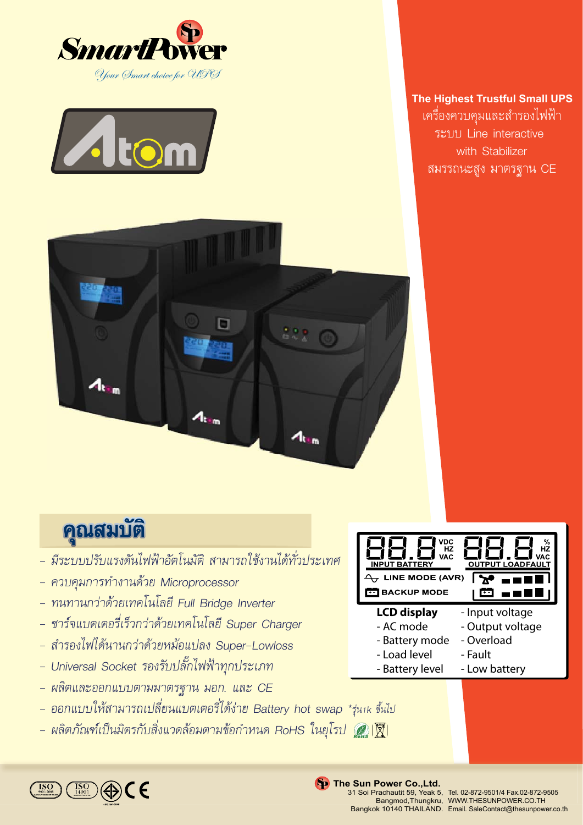



### **The Highest Trustful Small UPS** เครื่องควบคุมและสำรองไฟฟา ระบบ Line interactive with Stabilizer สมรรถนะสูง มาตรฐาน CE



# คุณสมบัติ

- *มีระบบปรับแรงดันไฟฟาอัตโนมัติ สามารถใชงานไดทั่วประเทศ*
- *ควบคุมการทำงานดวย Microprocessor*
- *ทนทานกวาดวยเทคโนโลยี Full Bridge Inverter*
- *ชารจแบตเตอรี่เร็วกวาดวยเทคโนโลยี Super Charger*
- *สำรองไฟไดนานกวาดวยหมอแปลง Super-Lowloss*
- *Universal Socket รองรับปลั๊กไฟฟาทุกประเภท*
- *ผลิตและออกแบบตามมาตรฐาน มอก. และ CE*
- *ออกแบบใหสามารถเปลี่ยนแบตเตอรี่ไดงาย Battery hot swap \*รุน1k ขึ้นไป*
- *ผลิตภัณฑเปนมิตรกับสิ่งแวดลอมตามขอกำหนด RoHS ในยุโรป*

| <b>VDC</b><br><b>HZ</b><br>НZ<br><b>VAC</b><br>VAC.<br><b>OUTPUT LOADFAULT</b><br><b>INPUT BATTERY</b> | ℅ |
|--------------------------------------------------------------------------------------------------------|---|
| LINE MODE (AVR)                                                                                        |   |
| <b>BACKUP MODE</b>                                                                                     |   |
| <b>LCD</b> display<br>- Input voltage                                                                  |   |

- AC mode - Overload
- Battery mode - Load level
	- Fault
- Battery level - Low battery

 $\in \mathsf{E}$ 

#### **Sp** The Sun Power Co., Ltd.

31 Soi Prachautit 59, Yeak 5,

rachautit 59, Yeak 5, Tel. 02-872-9501/4 Fax.02-872-9505<br>Bangmod,Thungkru, WWW.THESUNPOWER.CO.TH Bangkok 10140 THAILAND. Email. SaleContact@thesunpower.co.th WWW.THESUNPOWER.CO.TH

- Output voltage